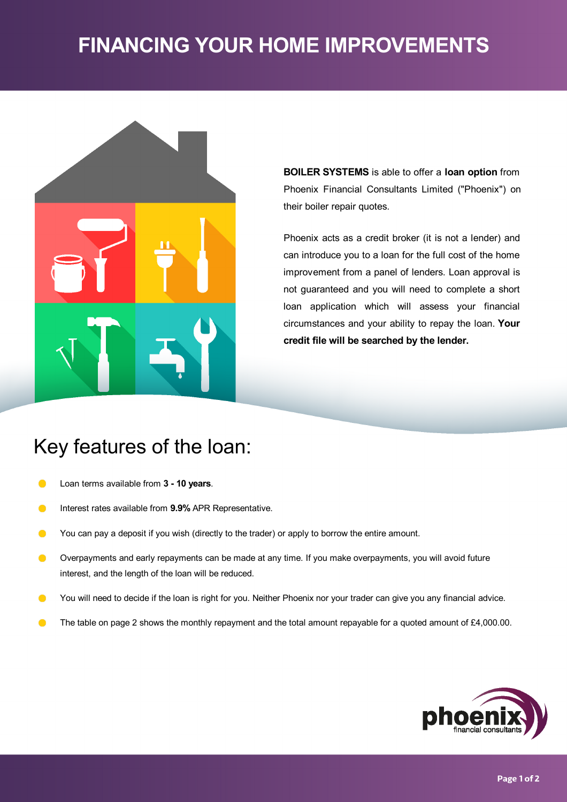# **FINANCING YOUR HOME IMPROVEMENTS**



**BOILER SYSTEMS** is able to offer a **loan option** from Phoenix Financial Consultants Limited ("Phoenix") on their boiler repair quotes.

Phoenix acts as a credit broker (it is not a lender) and can introduce you to a loan for the full cost of the home improvement from a panel of lenders. Loan approval is not guaranteed and you will need to complete a short loan application which will assess your financial circumstances and your ability to repay the loan. **Your credit file will be searched by the lender.**

# Key features of the loan:

- Loan terms available from **3 -10 years**.  $\bullet$
- Interest rates available from **9.9%** APR Representative.  $\bullet$
- $\bullet$ You can pay a deposit if you wish (directly to the trader) or apply to borrow the entire amount.
- Overpayments and early repayments can be made at any time. If you make overpayments, you will avoid future  $\bullet$ interest, and the length of the loan will be reduced.
- $\bullet$ You will need to decide if the loan is right for you. Neither Phoenix nor your trader can give you any financial advice.
- The table on page 2 shows the monthly repayment and the total amount repayable for a quoted amount of £4,000.00.